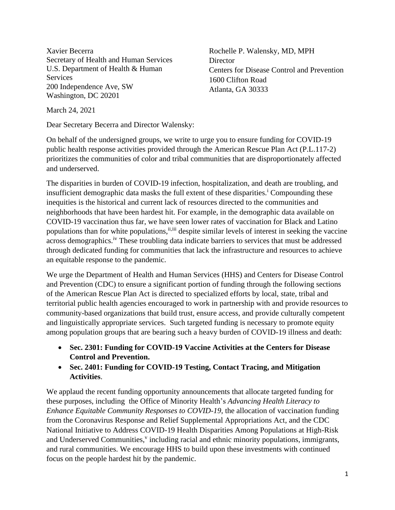Xavier Becerra Secretary of Health and Human Services U.S. Department of Health & Human Services 200 Independence Ave, SW Washington, DC 20201

Rochelle P. Walensky, MD, MPH **Director** Centers for Disease Control and Prevention 1600 Clifton Road Atlanta, GA 30333

March 24, 2021

Dear Secretary Becerra and Director Walensky:

On behalf of the undersigned groups, we write to urge you to ensure funding for COVID-19 public health response activities provided through the American Rescue Plan Act (P.L.117-2) prioritizes the communities of color and tribal communities that are disproportionately affected and underserved.

The disparities in burden of COVID-19 infection, hospitalization, and death are troubling, and insufficient demographic data masks the full extent of these disparities.<sup>i</sup> Compounding these inequities is the historical and current lack of resources directed to the communities and neighborhoods that have been hardest hit. For example, in the demographic data available on COVID-19 vaccination thus far, we have seen lower rates of vaccination for Black and Latino populations than for white populations, ii,iii despite similar levels of interest in seeking the vaccine across demographics.<sup>iv</sup> These troubling data indicate barriers to services that must be addressed through dedicated funding for communities that lack the infrastructure and resources to achieve an equitable response to the pandemic.

We urge the Department of Health and Human Services (HHS) and Centers for Disease Control and Prevention (CDC) to ensure a significant portion of funding through the following sections of the American Rescue Plan Act is directed to specialized efforts by local, state, tribal and territorial public health agencies encouraged to work in partnership with and provide resources to community-based organizations that build trust, ensure access, and provide culturally competent and linguistically appropriate services. Such targeted funding is necessary to promote equity among population groups that are bearing such a heavy burden of COVID-19 illness and death:

- **Sec. 2301: Funding for COVID-19 Vaccine Activities at the Centers for Disease Control and Prevention.**
- **Sec. 2401: Funding for COVID-19 Testing, Contact Tracing, and Mitigation Activities**.

We applaud the recent funding opportunity announcements that allocate targeted funding for these purposes, including the Office of Minority Health's *Advancing Health Literacy to Enhance Equitable Community Responses to COVID-19*, the allocation of vaccination funding from the Coronavirus Response and Relief Supplemental Appropriations Act, and the CDC National Initiative to Address COVID-19 Health Disparities Among Populations at High-Risk and Underserved Communities,<sup>v</sup> including racial and ethnic minority populations, immigrants, and rural communities. We encourage HHS to build upon these investments with continued focus on the people hardest hit by the pandemic.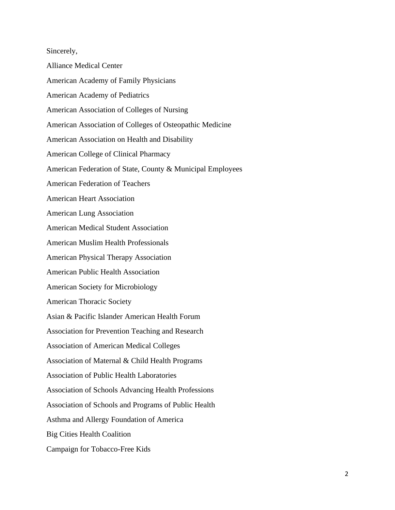Sincerely, Alliance Medical Center American Academy of Family Physicians American Academy of Pediatrics American Association of Colleges of Nursing American Association of Colleges of Osteopathic Medicine American Association on Health and Disability American College of Clinical Pharmacy American Federation of State, County & Municipal Employees American Federation of Teachers American Heart Association American Lung Association American Medical Student Association American Muslim Health Professionals American Physical Therapy Association American Public Health Association American Society for Microbiology American Thoracic Society Asian & Pacific Islander American Health Forum Association for Prevention Teaching and Research Association of American Medical Colleges Association of Maternal & Child Health Programs Association of Public Health Laboratories Association of Schools Advancing Health Professions Association of Schools and Programs of Public Health Asthma and Allergy Foundation of America Big Cities Health Coalition Campaign for Tobacco-Free Kids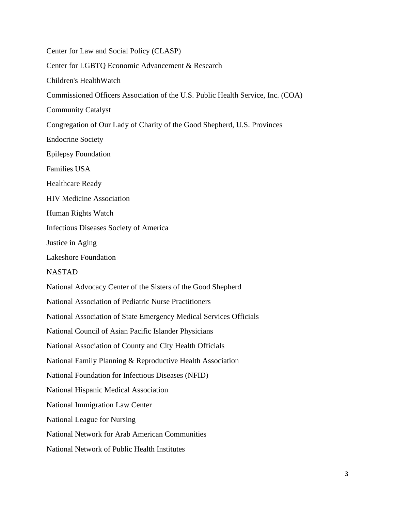Center for Law and Social Policy (CLASP) Center for LGBTQ Economic Advancement & Research Children's HealthWatch Commissioned Officers Association of the U.S. Public Health Service, Inc. (COA) Community Catalyst Congregation of Our Lady of Charity of the Good Shepherd, U.S. Provinces Endocrine Society Epilepsy Foundation Families USA Healthcare Ready HIV Medicine Association Human Rights Watch Infectious Diseases Society of America Justice in Aging Lakeshore Foundation NASTAD National Advocacy Center of the Sisters of the Good Shepherd National Association of Pediatric Nurse Practitioners National Association of State Emergency Medical Services Officials National Council of Asian Pacific Islander Physicians National Association of County and City Health Officials National Family Planning & Reproductive Health Association National Foundation for Infectious Diseases (NFID) National Hispanic Medical Association National Immigration Law Center National League for Nursing National Network for Arab American Communities National Network of Public Health Institutes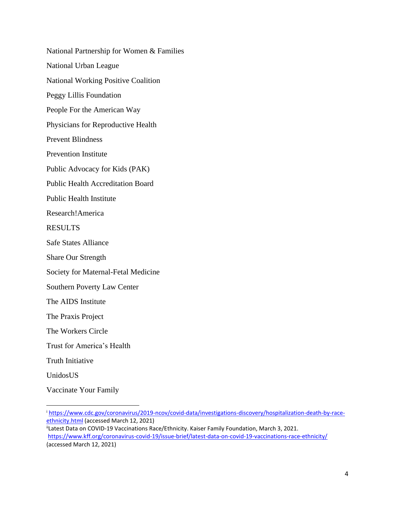National Partnership for Women & Families National Urban League National Working Positive Coalition Peggy Lillis Foundation People For the American Way Physicians for Reproductive Health Prevent Blindness Prevention Institute Public Advocacy for Kids (PAK) Public Health Accreditation Board Public Health Institute Research!America RESULTS Safe States Alliance Share Our Strength Society for Maternal-Fetal Medicine Southern Poverty Law Center The AIDS Institute The Praxis Project The Workers Circle Trust for America's Health Truth Initiative UnidosUS Vaccinate Your Family

<sup>i</sup> [https://www.cdc.gov/coronavirus/2019-ncov/covid-data/investigations-discovery/hospitalization-death-by-race](https://www.cdc.gov/coronavirus/2019-ncov/covid-data/investigations-discovery/hospitalization-death-by-race-ethnicity.html)[ethnicity.html](https://www.cdc.gov/coronavirus/2019-ncov/covid-data/investigations-discovery/hospitalization-death-by-race-ethnicity.html) (accessed March 12, 2021)

<sup>&</sup>lt;sup>ii</sup>Latest Data on COVID-19 Vaccinations Race/Ethnicity. Kaiser Family Foundation, March 3, 2021. <https://www.kff.org/coronavirus-covid-19/issue-brief/latest-data-on-covid-19-vaccinations-race-ethnicity/> (accessed March 12, 2021)